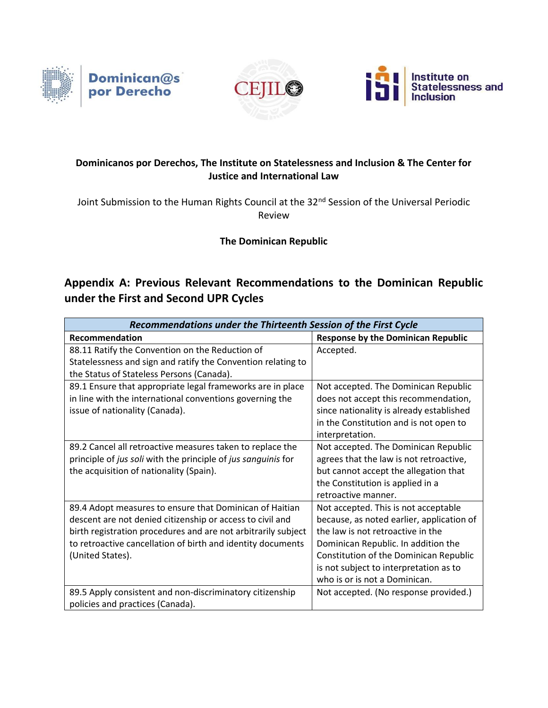





## **Dominicanos por Derechos, The Institute on Statelessness and Inclusion & The Center for Justice and International Law**

Joint Submission to the Human Rights Council at the 32<sup>nd</sup> Session of the Universal Periodic Review

**The Dominican Republic**

## **Appendix A: Previous Relevant Recommendations to the Dominican Republic under the First and Second UPR Cycles**

| Recommendations under the Thirteenth Session of the First Cycle                                                                                                                                                                                                          |                                                                                                                                                                                                                                                                                    |  |
|--------------------------------------------------------------------------------------------------------------------------------------------------------------------------------------------------------------------------------------------------------------------------|------------------------------------------------------------------------------------------------------------------------------------------------------------------------------------------------------------------------------------------------------------------------------------|--|
| Recommendation                                                                                                                                                                                                                                                           | <b>Response by the Dominican Republic</b>                                                                                                                                                                                                                                          |  |
| 88.11 Ratify the Convention on the Reduction of<br>Statelessness and sign and ratify the Convention relating to<br>the Status of Stateless Persons (Canada).                                                                                                             | Accepted.                                                                                                                                                                                                                                                                          |  |
| 89.1 Ensure that appropriate legal frameworks are in place<br>in line with the international conventions governing the<br>issue of nationality (Canada).                                                                                                                 | Not accepted. The Dominican Republic<br>does not accept this recommendation,<br>since nationality is already established<br>in the Constitution and is not open to<br>interpretation.                                                                                              |  |
| 89.2 Cancel all retroactive measures taken to replace the<br>principle of jus soli with the principle of jus sanguinis for<br>the acquisition of nationality (Spain).                                                                                                    | Not accepted. The Dominican Republic<br>agrees that the law is not retroactive,<br>but cannot accept the allegation that<br>the Constitution is applied in a<br>retroactive manner.                                                                                                |  |
| 89.4 Adopt measures to ensure that Dominican of Haitian<br>descent are not denied citizenship or access to civil and<br>birth registration procedures and are not arbitrarily subject<br>to retroactive cancellation of birth and identity documents<br>(United States). | Not accepted. This is not acceptable<br>because, as noted earlier, application of<br>the law is not retroactive in the<br>Dominican Republic. In addition the<br>Constitution of the Dominican Republic<br>is not subject to interpretation as to<br>who is or is not a Dominican. |  |
| 89.5 Apply consistent and non-discriminatory citizenship<br>policies and practices (Canada).                                                                                                                                                                             | Not accepted. (No response provided.)                                                                                                                                                                                                                                              |  |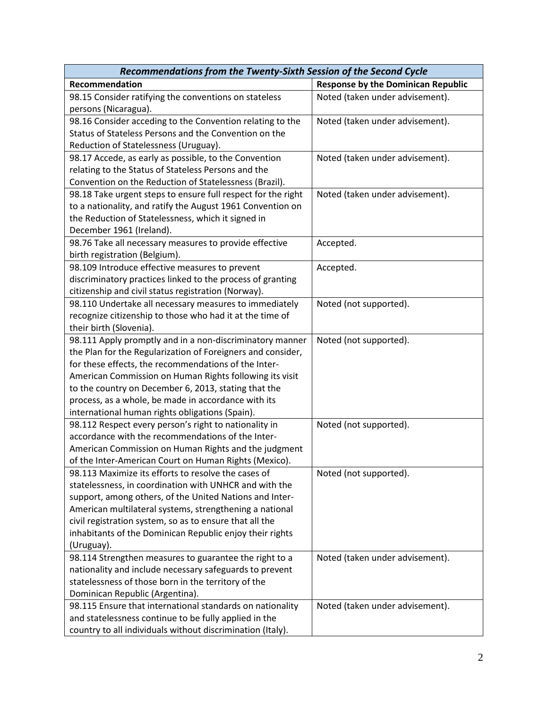| Recommendations from the Twenty-Sixth Session of the Second Cycle |                                           |  |
|-------------------------------------------------------------------|-------------------------------------------|--|
| Recommendation                                                    | <b>Response by the Dominican Republic</b> |  |
| 98.15 Consider ratifying the conventions on stateless             | Noted (taken under advisement).           |  |
| persons (Nicaragua).                                              |                                           |  |
| 98.16 Consider acceding to the Convention relating to the         | Noted (taken under advisement).           |  |
| Status of Stateless Persons and the Convention on the             |                                           |  |
| Reduction of Statelessness (Uruguay).                             |                                           |  |
| 98.17 Accede, as early as possible, to the Convention             | Noted (taken under advisement).           |  |
| relating to the Status of Stateless Persons and the               |                                           |  |
| Convention on the Reduction of Statelessness (Brazil).            |                                           |  |
| 98.18 Take urgent steps to ensure full respect for the right      | Noted (taken under advisement).           |  |
| to a nationality, and ratify the August 1961 Convention on        |                                           |  |
| the Reduction of Statelessness, which it signed in                |                                           |  |
| December 1961 (Ireland).                                          |                                           |  |
| 98.76 Take all necessary measures to provide effective            | Accepted.                                 |  |
| birth registration (Belgium).                                     |                                           |  |
| 98.109 Introduce effective measures to prevent                    | Accepted.                                 |  |
| discriminatory practices linked to the process of granting        |                                           |  |
| citizenship and civil status registration (Norway).               |                                           |  |
| 98.110 Undertake all necessary measures to immediately            | Noted (not supported).                    |  |
| recognize citizenship to those who had it at the time of          |                                           |  |
| their birth (Slovenia).                                           |                                           |  |
| 98.111 Apply promptly and in a non-discriminatory manner          | Noted (not supported).                    |  |
| the Plan for the Regularization of Foreigners and consider,       |                                           |  |
| for these effects, the recommendations of the Inter-              |                                           |  |
| American Commission on Human Rights following its visit           |                                           |  |
| to the country on December 6, 2013, stating that the              |                                           |  |
| process, as a whole, be made in accordance with its               |                                           |  |
| international human rights obligations (Spain).                   |                                           |  |
| 98.112 Respect every person's right to nationality in             | Noted (not supported).                    |  |
| accordance with the recommendations of the Inter-                 |                                           |  |
| American Commission on Human Rights and the judgment              |                                           |  |
| of the Inter-American Court on Human Rights (Mexico).             |                                           |  |
| 98.113 Maximize its efforts to resolve the cases of               | Noted (not supported).                    |  |
| statelessness, in coordination with UNHCR and with the            |                                           |  |
| support, among others, of the United Nations and Inter-           |                                           |  |
| American multilateral systems, strengthening a national           |                                           |  |
| civil registration system, so as to ensure that all the           |                                           |  |
| inhabitants of the Dominican Republic enjoy their rights          |                                           |  |
| (Uruguay).                                                        |                                           |  |
| 98.114 Strengthen measures to guarantee the right to a            | Noted (taken under advisement).           |  |
| nationality and include necessary safeguards to prevent           |                                           |  |
| statelessness of those born in the territory of the               |                                           |  |
| Dominican Republic (Argentina).                                   |                                           |  |
| 98.115 Ensure that international standards on nationality         | Noted (taken under advisement).           |  |
| and statelessness continue to be fully applied in the             |                                           |  |
| country to all individuals without discrimination (Italy).        |                                           |  |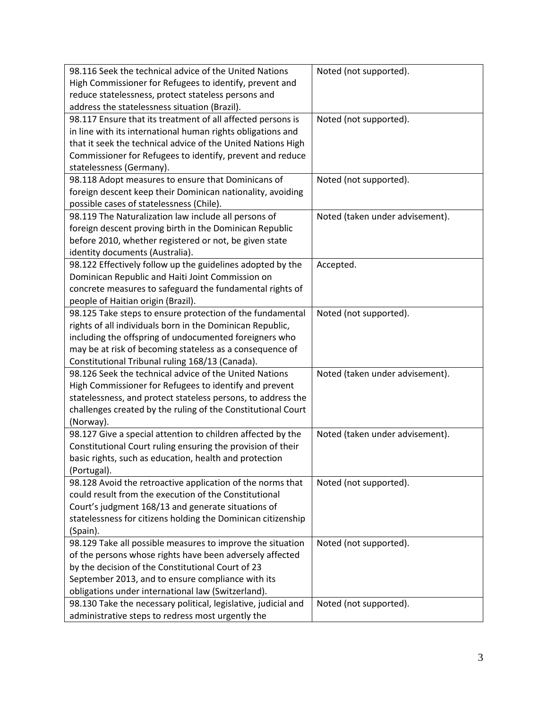| 98.116 Seek the technical advice of the United Nations                                                  | Noted (not supported).          |
|---------------------------------------------------------------------------------------------------------|---------------------------------|
| High Commissioner for Refugees to identify, prevent and                                                 |                                 |
| reduce statelessness, protect stateless persons and                                                     |                                 |
| address the statelessness situation (Brazil).                                                           |                                 |
| 98.117 Ensure that its treatment of all affected persons is                                             | Noted (not supported).          |
| in line with its international human rights obligations and                                             |                                 |
| that it seek the technical advice of the United Nations High                                            |                                 |
| Commissioner for Refugees to identify, prevent and reduce                                               |                                 |
| statelessness (Germany).                                                                                |                                 |
| 98.118 Adopt measures to ensure that Dominicans of                                                      | Noted (not supported).          |
| foreign descent keep their Dominican nationality, avoiding                                              |                                 |
| possible cases of statelessness (Chile).                                                                |                                 |
| 98.119 The Naturalization law include all persons of                                                    | Noted (taken under advisement). |
| foreign descent proving birth in the Dominican Republic                                                 |                                 |
| before 2010, whether registered or not, be given state                                                  |                                 |
| identity documents (Australia).                                                                         |                                 |
| 98.122 Effectively follow up the guidelines adopted by the                                              | Accepted.                       |
| Dominican Republic and Haiti Joint Commission on                                                        |                                 |
| concrete measures to safeguard the fundamental rights of                                                |                                 |
| people of Haitian origin (Brazil).                                                                      |                                 |
| 98.125 Take steps to ensure protection of the fundamental                                               | Noted (not supported).          |
| rights of all individuals born in the Dominican Republic,                                               |                                 |
| including the offspring of undocumented foreigners who                                                  |                                 |
| may be at risk of becoming stateless as a consequence of                                                |                                 |
| Constitutional Tribunal ruling 168/13 (Canada).                                                         |                                 |
| 98.126 Seek the technical advice of the United Nations                                                  | Noted (taken under advisement). |
| High Commissioner for Refugees to identify and prevent                                                  |                                 |
| statelessness, and protect stateless persons, to address the                                            |                                 |
| challenges created by the ruling of the Constitutional Court                                            |                                 |
| (Norway).                                                                                               |                                 |
| 98.127 Give a special attention to children affected by the                                             | Noted (taken under advisement). |
| Constitutional Court ruling ensuring the provision of their                                             |                                 |
| basic rights, such as education, health and protection                                                  |                                 |
| (Portugal).                                                                                             |                                 |
| 98.128 Avoid the retroactive application of the norms that                                              | Noted (not supported).          |
| could result from the execution of the Constitutional                                                   |                                 |
| Court's judgment 168/13 and generate situations of                                                      |                                 |
| statelessness for citizens holding the Dominican citizenship                                            |                                 |
| (Spain).                                                                                                |                                 |
| 98.129 Take all possible measures to improve the situation                                              | Noted (not supported).          |
| of the persons whose rights have been adversely affected                                                |                                 |
| by the decision of the Constitutional Court of 23                                                       |                                 |
|                                                                                                         |                                 |
| September 2013, and to ensure compliance with its<br>obligations under international law (Switzerland). |                                 |
|                                                                                                         |                                 |
| 98.130 Take the necessary political, legislative, judicial and                                          | Noted (not supported).          |
| administrative steps to redress most urgently the                                                       |                                 |